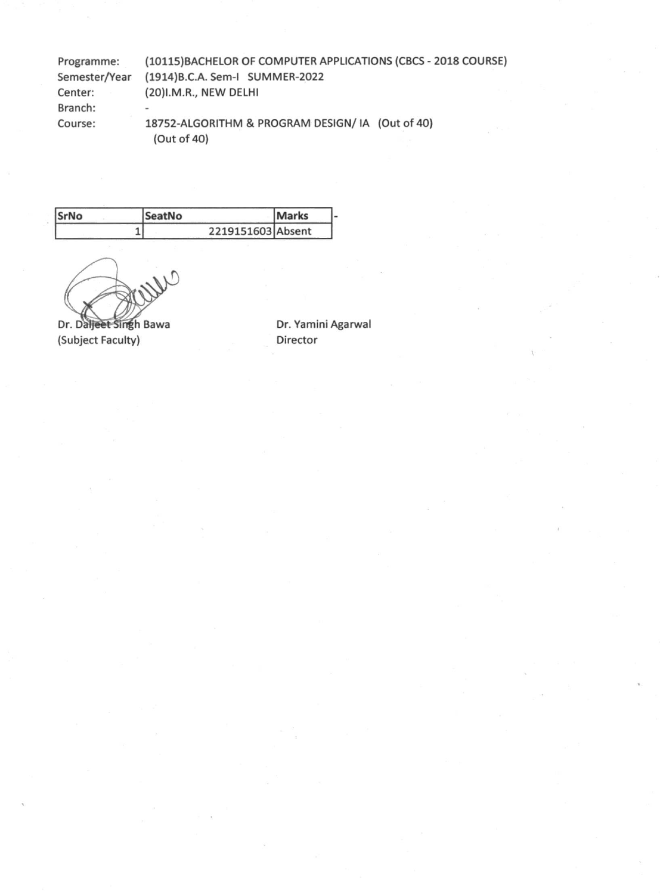| Programme:    | (10115) BACHELOR OF COMPUTER APPLICATIONS (CBCS - 2018 COURSE) |  |
|---------------|----------------------------------------------------------------|--|
| Semester/Year | (1914) B.C.A. Sem-I SUMMER-2022                                |  |
| Center:       | (20)I.M.R., NEW DELHI                                          |  |
| Branch:       | $\blacksquare$                                                 |  |
| Course:       | 18752-ALGORITHM & PROGRAM DESIGN/IA (Out of 40)<br>(Out of 40) |  |

| SrNo | <b>SeatNo</b>     | <b>Marks</b> |  |
|------|-------------------|--------------|--|
|      | 2219151603 Absent |              |  |

 $W^0$ 

Dr. Daljeet Singh Bawa<br>
(Subject Faculty) **Director**<br>
Director (Subject Faculty)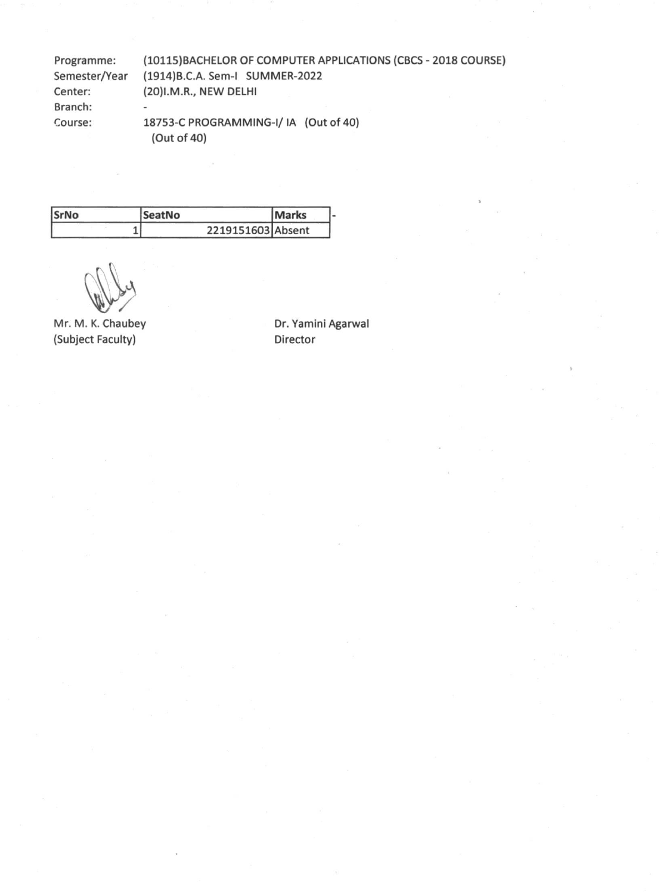Programme: (10115)BACHELOR OF COMPUTER APPLICATIONS (CBCS - 2018 COURSE) Semester/Year (1914)B.C.A. Sem-I SUMMER-2022 Center: (20)I.M.R., NEW DELHI Branch:  $\overline{a}$ Course: 18753-C PROGRAMMING-I/ IA (Out of 40) (Out of 40)

| <b>SrNo</b> | <b>SeatNo</b>     | <b>IMarks</b> |  |
|-------------|-------------------|---------------|--|
|             | 2219151603 Absent |               |  |

Mr. M. K. Chaubey (Subject Faculty)

Dr. Yamini Agarwal Director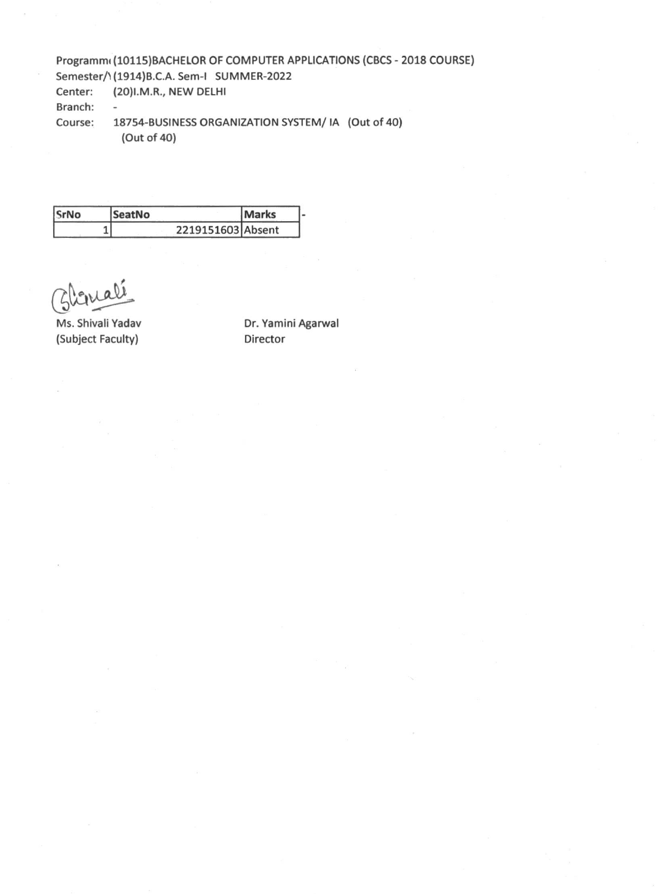## **Programmi (10115)BACHELOR OF COMPUTER APPLICATIONS (CBCS - 2018 COURSE) Semester/1(1914)B.C.A. Sem-I SUMMER-2022 Center: (20)I.M.R., NEW DELHI Branch: - Course: 18754-BUSINESS ORGANIZATION SYSTEM/ IA (Out of 40)**

**(Out of 40)** 

| SrNo | <b>SeatNo</b>     | <b>Marks</b> |  |
|------|-------------------|--------------|--|
|      | 2219151603 Absent |              |  |

**(Subject Faculty) Director** 

Ms. Shivali Yadav **Dr. Yamini Agarwal**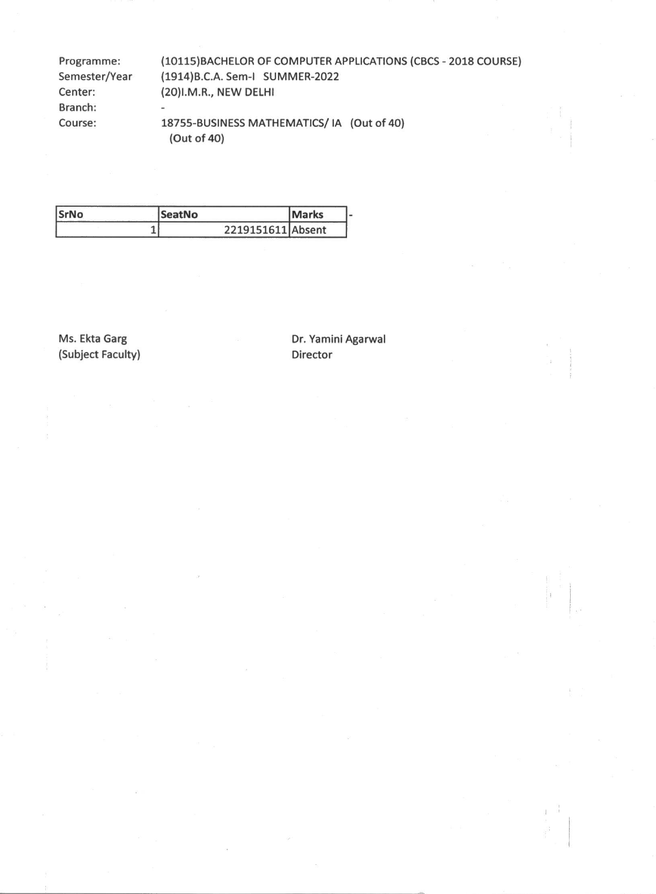Programme: (10115)BACHELOR OF COMPUTER APPLICATIONS (CBCS - 2018 COURSE) Semester/Year (1914)B.C.A. Sem-I SUMMER-2022 Center: (20)I.M.R., NEW DELHI Branch: Course: 18755-BUSINESS MATHEMATICS/ IA (Out of 40) (Out of 40)

| SrNo | <b>SeatNo</b>     | <b>Marks</b> |  |
|------|-------------------|--------------|--|
|      | 2219151611 Absent |              |  |

(Subject Faculty) Director

Ms. Ekta Garg **Dr. Yamini Agarwal**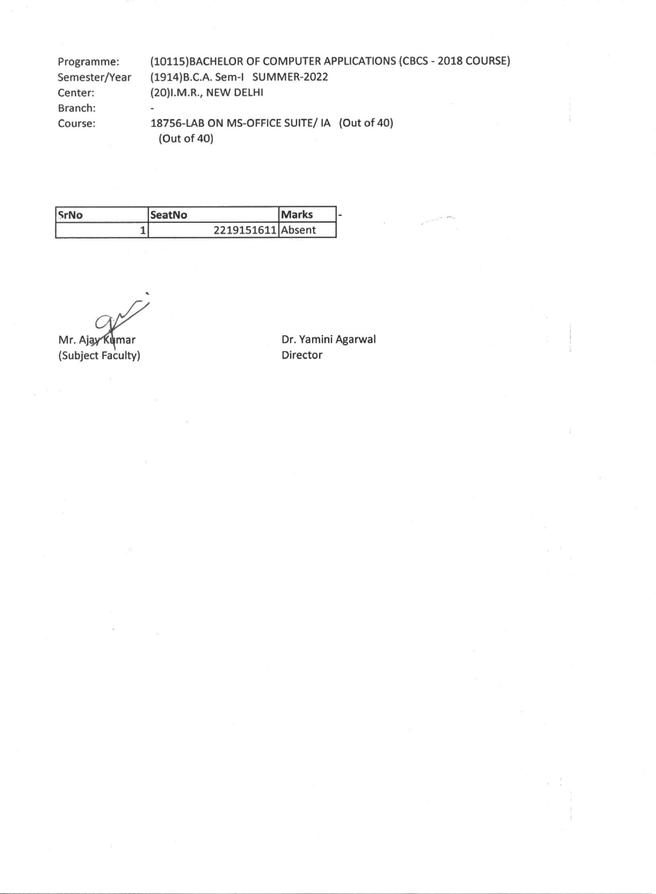**Programme: (10115)BACHELOR OF COMPUTER APPLICATIONS (CBCS - 2018 COURSE) Semester/Year (1914)B.C.A. Sem-i SUMMER-2022 Center: (20)I.M.R., NEW DELHI Branch: Course: 18756-LAB ON MS-OFFICE SUITE/ IA (Out of 40) (Out of 40)** 

| <b>SrNo</b> | <b>SeatNo</b>     | <b>Marks</b> |  |
|-------------|-------------------|--------------|--|
|             | 2219151611 Absent |              |  |

0.

Mr. Ajay **Kumar (Subject Faculty)** 

**Dr. Yamini Agarwal Director**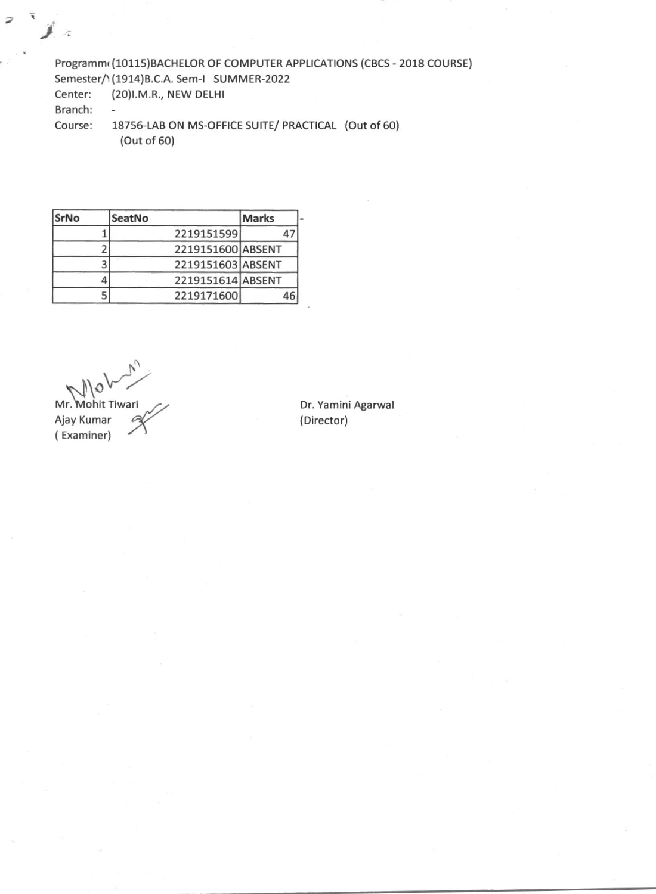Programm( (10115)BACHELOR OF COMPUTER APPLICATIONS (CBCS - 2018 COURSE)

Semester/1(1914)B.C.A. Sem-I SUMMER-2022

Center: (20)I.M.R., NEW DELHI

 $\overline{a}$ 

Branch:

 $\mathcal{L}$ 

Course: 18756-LAB ON MS-OFFICE SUITE/ PRACTICAL (Out of 60) (Out of 60)

| <b>SrNo</b> | <b>SeatNo</b> | <b>Marks</b>      |
|-------------|---------------|-------------------|
|             |               | 2219151599        |
|             |               | 2219151600 ABSENT |
|             |               | 2219151603 ABSENT |
|             |               | 2219151614 ABSENT |
|             |               | 2219171600        |

Ajay Kumar 2015 ( Examiner)

Mr. Mohit Tiwari Communication Communication Dr. Yamini Agarwal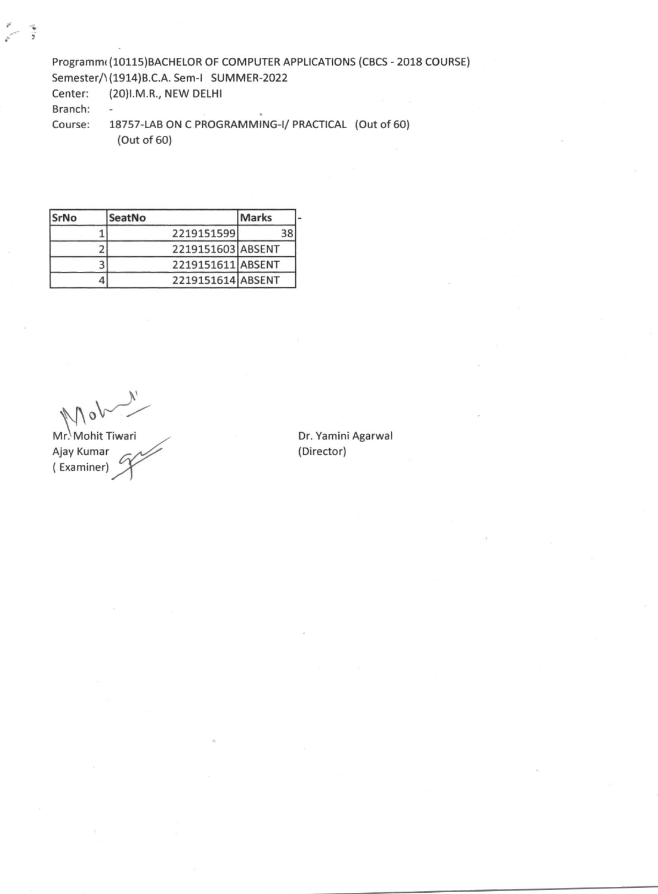Programm( (10115)BACHELOR OF COMPUTER APPLICATIONS (CBCS - 2018 COURSE) Semester/1(1914)B.C.A. Sem-I SUMMER-2022

Center: (20)I.M.R., NEW DELHI

Branch: -

Course: 18757-LAB ON C PROGRAMMING-I/ PRACTICAL (Out of 60) (Out of 60)

| <b>SrNo</b> | SeatNo     | Marks             |
|-------------|------------|-------------------|
|             | 2219151599 | 38                |
|             |            | 2219151603 ABSENT |
|             |            | 2219151611 ABSENT |
|             |            | 2219151614 ABSENT |

Mr. Mohit Tiwari Christian Christmas Dr. Yamini Agarwal Ajay Kumar (Director) ( Examiner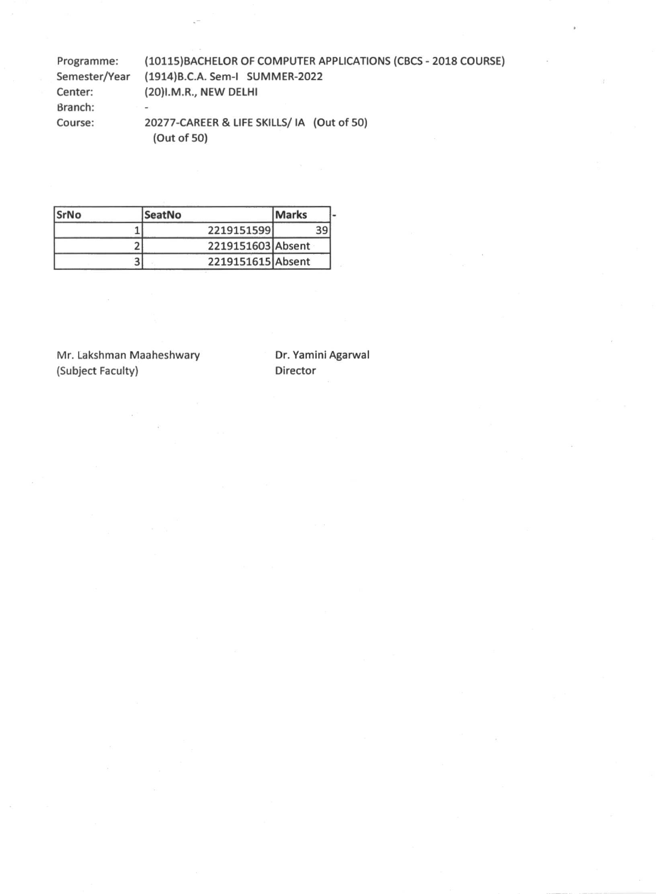| Programme:    | (10115) BACHELOR OF COMPUTER APPLICATIONS (CBCS - 2018 COURSE) |
|---------------|----------------------------------------------------------------|
| Semester/Year | (1914) B.C.A. Sem-I SUMMER-2022                                |
| Center:       | (20)I.M.R., NEW DELHI                                          |
| Branch:       | $\overline{\phantom{a}}$                                       |
| Course:       | 20277-CAREER & LIFE SKILLS/ IA (Out of 50)<br>(Out of 50)      |

| <b>SrNo</b> | SeatNo            | <b>Marks</b> |  |
|-------------|-------------------|--------------|--|
|             | 2219151599        | 39           |  |
|             | 2219151603 Absent |              |  |
|             | 2219151615 Absent |              |  |

Mr. Lakshman Maaheshwary Dr. Yamini Agarwal<br>(Subject Faculty) Director (Subject Faculty)